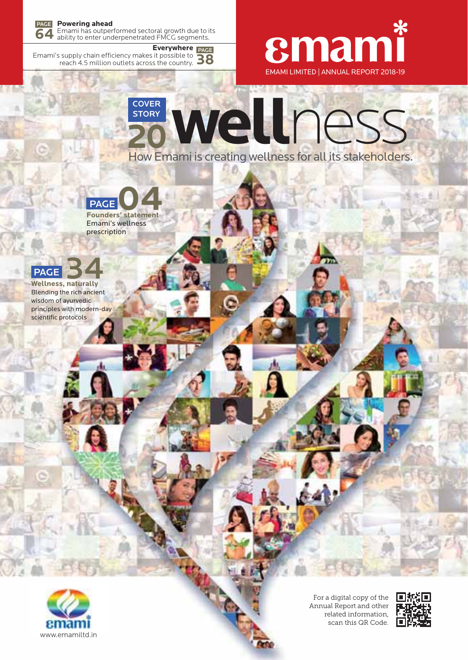

Emami has outperformed sectoral growth due to its ability to enter underpenetrated FMCG segments.

supply chain efficiency makes it possible to **38**<br>reach 4.5 million outlets across the country. **Everywhere PAGE** Emami's supply chain efficiency makes it possible to



## **20 well**ness **COVER STORY**

How Emami is creating wellness for all its stakeholders.



Emami's wellness prescription



Blending the rich ancient wisdom of ayurvedic principles with modern-day scientific protocols



For a digital copy of the Annual Report and other related information, scan this QR Code.

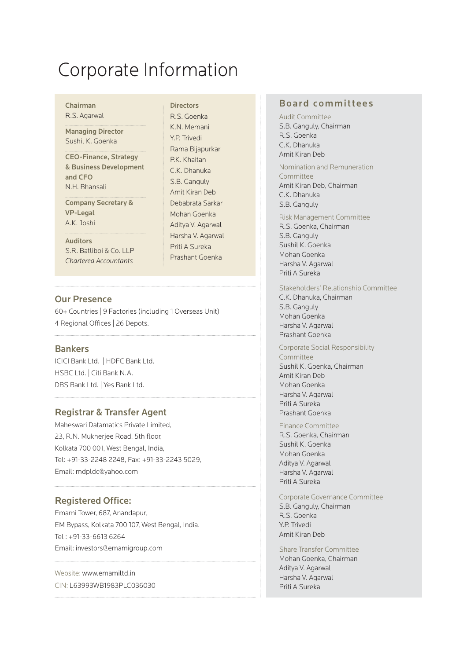# Corporate Information

#### Chairman

R.S. Agarwal

Managing Director Sushil K. Goenka

CEO-Finance, Strategy & Business Development and CFO N.H. Bhansali

Company Secretary & VP-Legal A.K. Joshi

Auditors S.R. Batliboi & Co. LLP *Chartered Accountants*

### Our Presence

60+ Countries | 9 Factories (including 1 Overseas Unit) 4 Regional Offices | 26 Depots.

### **Bankers**

ICICI Bank Ltd. | HDFC Bank Ltd. HSBC Ltd. | Citi Bank N.A. DBS Bank Ltd. | Yes Bank Ltd.

## Registrar & Transfer Agent

Maheswari Datamatics Private Limited, 23, R.N. Mukherjee Road, 5th floor, Kolkata 700 001, West Bengal, India, Tel: +91-33-2248 2248, Fax: +91-33-2243 5029, Email: mdpldc@yahoo.com

## **Registered Office:**

Emami Tower, 687, Anandapur, EM Bypass, Kolkata 700 107, West Bengal, India. Tel : +91-33-6613 6264 Email: investors@emamigroup.com

Website: www.emamiltd.in CIN: L63993WB1983PLC036030 **Directors** R.S. Goenka K.N. Memani Y.P. Trivedi Rama Bijapurkar P.K. Khaitan C.K. Dhanuka S.B. Ganguly Amit Kiran Deb Debabrata Sarkar Mohan Goenka Aditya V. Agarwal Harsha V. Agarwal Priti A Sureka Prashant Goenka

### Board committees

Audit Committee S.B. Ganguly, Chairman R.S. Goenka C.K. Dhanuka Amit Kiran Deb

Nomination and Remuneration Committee Amit Kiran Deb, Chairman C.K. Dhanuka S.B. Ganguly

Risk Management Committee R.S. Goenka, Chairman S.B. Ganguly Sushil K. Goenka Mohan Goenka Harsha V. Agarwal Priti A Sureka

Stakeholders' Relationship Committee C.K. Dhanuka, Chairman S.B. Ganguly Mohan Goenka Harsha V. Agarwal Prashant Goenka

Corporate Social Responsibility Committee Sushil K. Goenka, Chairman Amit Kiran Deb Mohan Goenka Harsha V. Agarwal Priti A Sureka Prashant Goenka

Finance Committee R.S. Goenka, Chairman Sushil K. Goenka Mohan Goenka Aditya V. Agarwal Harsha V. Agarwal Priti A Sureka

Corporate Governance Committee S.B. Ganguly, Chairman R.S. Goenka Y.P. Trivedi Amit Kiran Deb

Share Transfer Committee Mohan Goenka, Chairman Aditya V. Agarwal Harsha V. Agarwal Priti A Sureka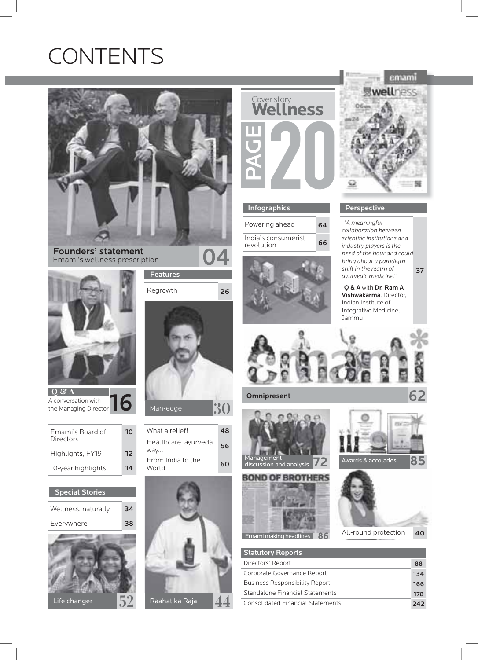# CONTENTS



Founders' statement Emami's wellness prescription **04** 



| Emami's Board of<br>Directors | 10 |
|-------------------------------|----|
| Highlights, FY19              | 12 |
| 10-year highlights            | 14 |

| <b>Special Stories</b> |    |
|------------------------|----|
| Wellness, naturally    | 34 |

| Everywhere |  |
|------------|--|





Features

| What a relief!              |    |
|-----------------------------|----|
| Healthcare, ayurveda<br>way | 56 |
| From India to the<br>World  | 60 |





#### Infographics **Perspective**

| Powering ahead                    | 64 |
|-----------------------------------|----|
| India's consumerist<br>revolution | 66 |





*"A meaningful collaboration between scientific institutions and industry players is the need of the hour and could bring about a paradigm shift in the realm of ayurvedic medicine."* 37

Q & A with Dr. Ram A Vishwakarma, Director, Indian Institute of Integrative Medicine, Jammu









All-round protection 40

| <b>Statutory Reports</b>              |     |
|---------------------------------------|-----|
| Directors' Report                     | 88  |
| Corporate Governance Report           | 134 |
| <b>Business Responsibility Report</b> | 166 |
| Standalone Financial Statements       | 178 |
| Consolidated Financial Statements     | 242 |
|                                       |     |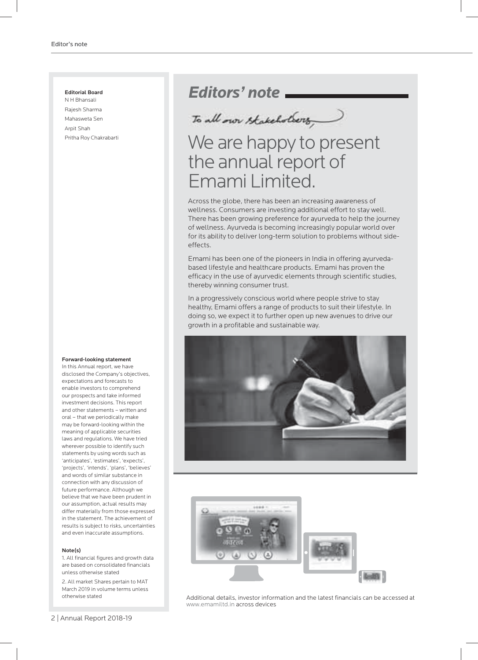#### Editorial Board N H Bhansali

Rajesh Sharma Mahasweta Sen Arpit Shah Pritha Roy Chakrabarti

#### Forward-looking statement

In this Annual report, we have disclosed the Company's objectives, expectations and forecasts to enable investors to comprehend our prospects and take informed investment decisions. This report and other statements – written and oral – that we periodically make may be forward-looking within the meaning of applicable securities laws and regulations. We have tried wherever possible to identify such statements by using words such as 'anticipates', 'estimates', 'expects', 'projects', 'intends', 'plans', 'believes' and words of similar substance in connection with any discussion of future performance. Although we believe that we have been prudent in our assumption, actual results may differ materially from those expressed in the statement. The achievement of results is subject to risks, uncertainties and even inaccurate assumptions.

#### Note(s)

1. All financial figures and growth data are based on consolidated financials unless otherwise stated

2. All market Shares pertain to MAT March 2019 in volume terms unless

# *Editors' note*

To all own stakeholvers

# We are happy to present the annual report of Emami Limited.

Across the globe, there has been an increasing awareness of wellness. Consumers are investing additional effort to stay well. There has been growing preference for ayurveda to help the journey of wellness. Ayurveda is becoming increasingly popular world over for its ability to deliver long-term solution to problems without sideeffects.

Emami has been one of the pioneers in India in offering ayurvedabased lifestyle and healthcare products. Emami has proven the efficacy in the use of ayurvedic elements through scientific studies, thereby winning consumer trust.

In a progressively conscious world where people strive to stay healthy, Emami offers a range of products to suit their lifestyle. In doing so, we expect it to further open up new avenues to drive our growth in a profitable and sustainable way.





otherwise stated **Additional details, investor information and the latest financials can be accessed at** www.emamiltd.in across devices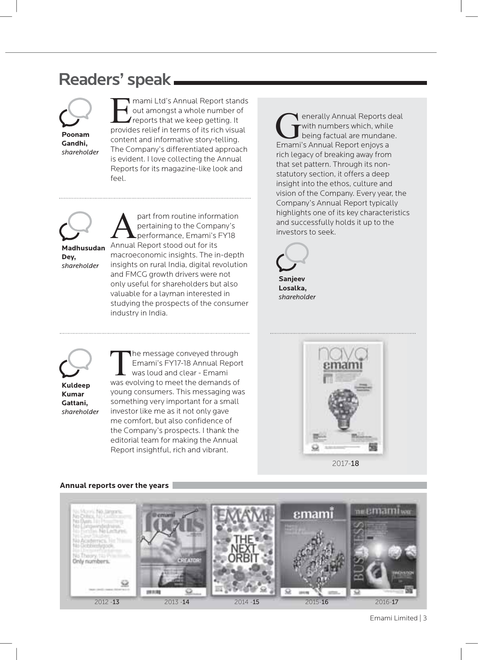# Readers' speak



**Gandhi,** *shareholder*

Emami Ltd's Annual Report stands<br>
out amongst a whole number of<br>
reports that we keep getting. It<br>
provides relief in terms of its rish visual out amongst a whole number of reports that we keep getting. It provides relief in terms of its rich visual content and informative story-telling. The Company's differentiated approach is evident. I love collecting the Annual Reports for its magazine-like look and feel.



**Madhusudan Dey,**  *shareholder*

part from routine information pertaining to the Company's performance, Emami's FY18 Annual Report stood out for its macroeconomic insights. The in-depth insights on rural India, digital revolution and FMCG growth drivers were not only useful for shareholders but also valuable for a layman interested in studying the prospects of the consumer industry in India.

Generally Annual Reports deal<br>
with numbers which, while<br>
being factual are mundane. with numbers which, while being factual are mundane. Emami's Annual Report enjoys a rich legacy of breaking away from that set pattern. Through its nonstatutory section, it offers a deep insight into the ethos, culture and vision of the Company. Every year, the Company's Annual Report typically highlights one of its key characteristics and successfully holds it up to the investors to seek.



**Losalka,**  *shareholder*



**Kuldeep Kumar Gattani,** *shareholder*

he message conveyed through Emami's FY17-18 Annual Report was loud and clear - Emami was evolving to meet the demands of young consumers. This messaging was something very important for a small investor like me as it not only gave me comfort, but also confidence of the Company's prospects. I thank the editorial team for making the Annual Report insightful, rich and vibrant.



2017-18



#### **Annual reports over the years**

Emami Limited | 3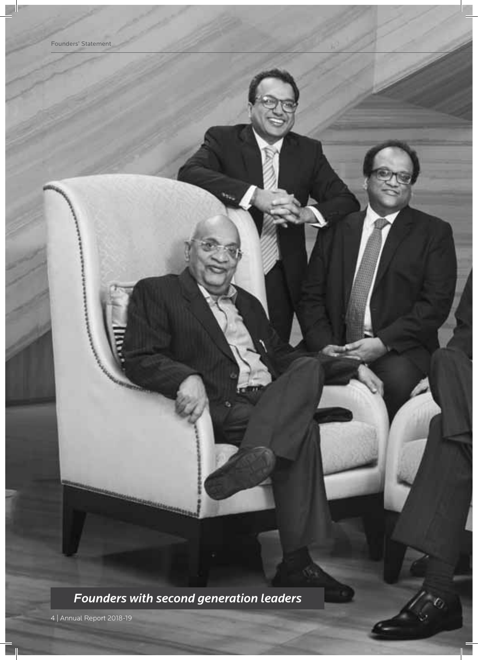

*Founders with second generation leaders*

4 | Annual Report 2018-19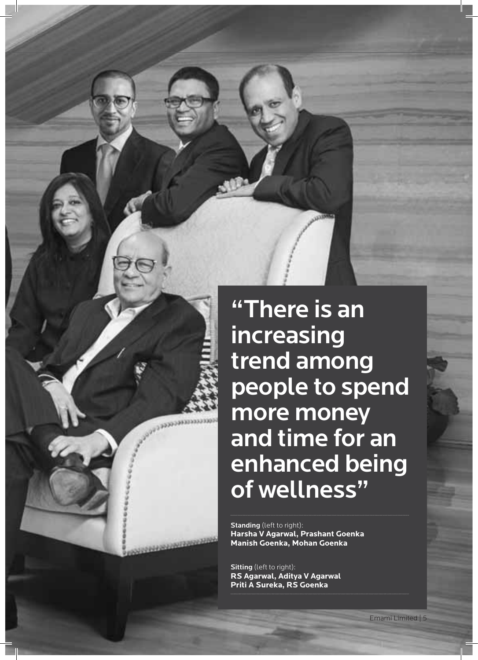

Standing (left to right): **Harsha V Agarwal, Prashant Goenka Manish Goenka, Mohan Goenka** 

Sitting (left to right): **RS Agarwal, Aditya V Agarwal Priti A Sureka, RS Goenka**

**SEEEEE**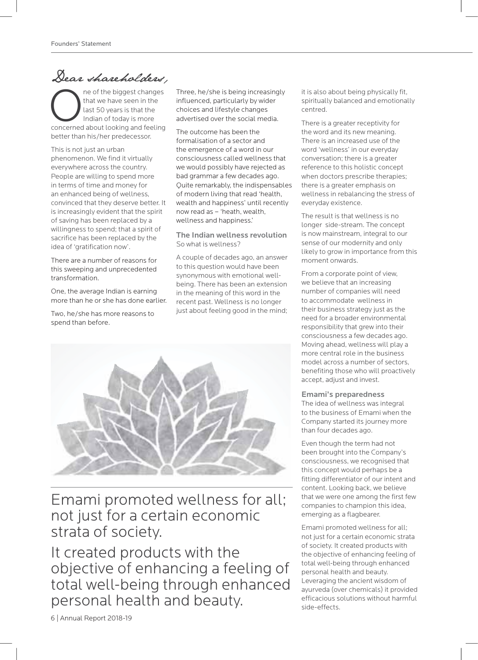Dear shareholders,

The of the biggest changes<br>
that we have seen in the<br>
last 50 years is that the<br>
Indian of today is more<br>
concerned about looking and feeling that we have seen in the last 50 years is that the Indian of today is more better than his/her predecessor.

This is not just an urban phenomenon. We find it virtually everywhere across the country. People are willing to spend more in terms of time and money for an enhanced being of wellness, convinced that they deserve better. It is increasingly evident that the spirit of saving has been replaced by a willingness to spend; that a spirit of sacrifice has been replaced by the idea of 'gratification now'.

There are a number of reasons for this sweeping and unprecedented transformation.

One, the average Indian is earning more than he or she has done earlier.

Two, he/she has more reasons to spend than before.

Three, he/she is being increasingly influenced, particularly by wider choices and lifestyle changes advertised over the social media.

The outcome has been the formalisation of a sector and the emergence of a word in our consciousness called wellness that we would possibly have rejected as bad grammar a few decades ago. Quite remarkably, the indispensables of modern living that read 'health, wealth and happiness' until recently now read as – 'heath, wealth, wellness and happiness.'

#### The Indian wellness revolution So what is wellness?

A couple of decades ago, an answer to this question would have been synonymous with emotional wellbeing. There has been an extension in the meaning of this word in the recent past. Wellness is no longer just about feeling good in the mind;



Emami promoted wellness for all; not just for a certain economic strata of society.

It created products with the objective of enhancing a feeling of total well-being through enhanced personal health and beauty.

it is also about being physically fit, spiritually balanced and emotionally centred.

There is a greater receptivity for the word and its new meaning. There is an increased use of the word 'wellness' in our everyday conversation; there is a greater reference to this holistic concept when doctors prescribe therapies; there is a greater emphasis on wellness in rebalancing the stress of everyday existence.

The result is that wellness is no longer side-stream. The concept is now mainstream, integral to our sense of our modernity and only likely to grow in importance from this moment onwards.

From a corporate point of view, we believe that an increasing number of companies will need to accommodate wellness in their business strategy just as the need for a broader environmental responsibility that grew into their consciousness a few decades ago. Moving ahead, wellness will play a more central role in the business model across a number of sectors, benefiting those who will proactively accept, adjust and invest.

#### Emami's preparedness

The idea of wellness was integral to the business of Emami when the Company started its journey more than four decades ago.

Even though the term had not been brought into the Company's consciousness, we recognised that this concept would perhaps be a fitting differentiator of our intent and content. Looking back, we believe that we were one among the first few companies to champion this idea, emerging as a flagbearer.

Emami promoted wellness for all; not just for a certain economic strata of society. It created products with the objective of enhancing feeling of total well-being through enhanced personal health and beauty. Leveraging the ancient wisdom of ayurveda (over chemicals) it provided efficacious solutions without harmful side-effects.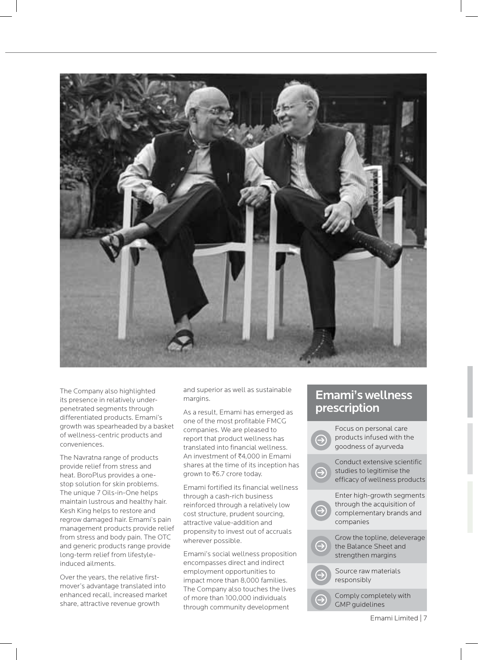

The Company also highlighted its presence in relatively underpenetrated segments through differentiated products. Emami's growth was spearheaded by a basket of wellness-centric products and conveniences.

The Navratna range of products provide relief from stress and heat. BoroPlus provides a onestop solution for skin problems. The unique 7 Oils-in-One helps maintain lustrous and healthy hair. Kesh King helps to restore and regrow damaged hair. Emami's pain management products provide relief from stress and body pain. The OTC and generic products range provide long-term relief from lifestyleinduced ailments.

Over the years, the relative firstmover's advantage translated into enhanced recall, increased market share, attractive revenue growth

and superior as well as sustainable margins.

As a result, Emami has emerged as one of the most profitable FMCG companies. We are pleased to report that product wellness has translated into financial wellness. An investment of  $\bar{\bar{\xi}}$ 4,000 in Emami shares at the time of its inception has grown to ₹6.7 crore today.

Emami fortified its financial wellness through a cash-rich business reinforced through a relatively low cost structure, prudent sourcing, attractive value-addition and propensity to invest out of accruals wherever possible.

Emami's social wellness proposition encompasses direct and indirect employment opportunities to impact more than 8,000 families. The Company also touches the lives of more than 100,000 individuals through community development

## Emami's wellness **prescription**

|               | Focus on personal care<br>products infused with the<br>goodness of ayurveda                       |
|---------------|---------------------------------------------------------------------------------------------------|
|               | Conduct extensive scientific<br>studies to legitimise the<br>efficacy of wellness products        |
|               | Enter high-growth segments<br>through the acquisition of<br>complementary brands and<br>companies |
| $\rightarrow$ | Grow the topline, deleverage<br>the Balance Sheet and<br>strengthen margins                       |
|               | Source raw materials<br>responsibly                                                               |
|               | Comply completely with<br><b>GMP</b> guidelines                                                   |

Emami Limited | 7